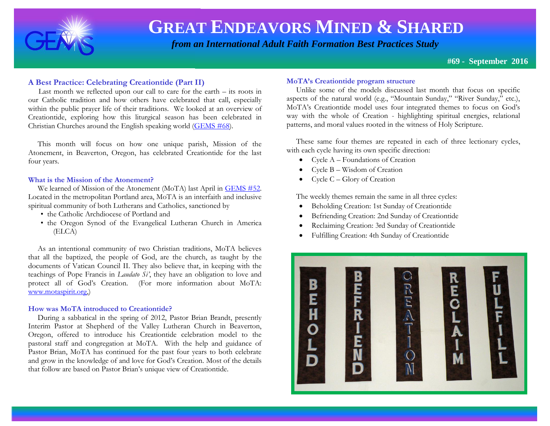

 *from an International Adult Faith Formation Best Practices Study*

**#69 - September 2016**

#### **A Best Practice: Celebrating Creationtide (Part II)**

Last month we reflected upon our call to care for the earth  $-$  its roots in our Catholic tradition and how others have celebrated that call, especially within the public prayer life of their traditions. We looked at an overview of Creationtide, exploring how this liturgical season has been celebrated in Christian Churches around the English speaking world [\(GEMS #68\)](http://www.janetschaeffler.com/GEMS_68.pdf).

 This month will focus on how one unique parish, Mission of the Atonement, in Beaverton, Oregon, has celebrated Creationtide for the last four years.

#### **What is the Mission of the Atonement?**

We learned of Mission of the Atonement (MoTA) last April in [GEMS #52.](http://www.janetschaeffler.com/GEMS__52.pdf) Located in the metropolitan Portland area, MoTA is an interfaith and inclusive spiritual community of both Lutherans and Catholics, sanctioned by

- the Catholic Archdiocese of Portland and
- the Oregon Synod of the Evangelical Lutheran Church in America (ELCA)

 As an intentional community of two Christian traditions, MoTA believes that all the baptized, the people of God, are the church, as taught by the documents of Vatican Council II. They also believe that, in keeping with the teachings of Pope Francis in *Laudato Si'*, they have an obligation to love and protect all of God's Creation. (For more information about MoTA: [www.motaspirit.org,](http://www.motaspirit.org/))

#### **How was MoTA introduced to Creationtide?**

 During a sabbatical in the spring of 2012, Pastor Brian Brandt, presently Interim Pastor at Shepherd of the Valley Lutheran Church in Beaverton, Oregon, offered to introduce his Creationtide celebration model to the pastoral staff and congregation at MoTA. With the help and guidance of Pastor Brian, MoTA has continued for the past four years to both celebrate and grow in the knowledge of and love for God's Creation. Most of the details that follow are based on Pastor Brian's unique view of Creationtide.

#### **MoTA's Creationtide program structure**

 Unlike some of the models discussed last month that focus on specific aspects of the natural world (e.g., "Mountain Sunday," "River Sunday," etc.), MoTA's Creationtide model uses four integrated themes to focus on God's way with the whole of Creation - highlighting spiritual energies, relational patterns, and moral values rooted in the witness of Holy Scripture.

 These same four themes are repeated in each of three lectionary cycles, with each cycle having its own specific direction:

- Cycle A Foundations of Creation
- Cycle B Wisdom of Creation
- Cycle C Glory of Creation

The weekly themes remain the same in all three cycles:

- Beholding Creation: 1st Sunday of Creationtide
- Befriending Creation: 2nd Sunday of Creationtide
- Reclaiming Creation: 3rd Sunday of Creationtide
- Fulfilling Creation: 4th Sunday of Creationtide

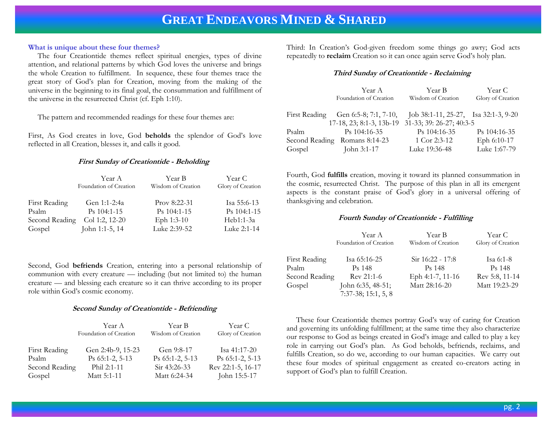#### **What is unique about these four themes?**

 The four Creationtide themes reflect spiritual energies, types of divine attention, and relational patterns by which God loves the universe and brings the whole Creation to fulfillment. In sequence, these four themes trace the great story of God's plan for Creation, moving from the making of the universe in the beginning to its final goal, the consummation and fulfillment of the universe in the resurrected Christ (cf. Eph 1:10).

The pattern and recommended readings for these four themes are:

First, As God creates in love, God **beholds** the splendor of God's love reflected in all Creation, blesses it, and calls it good.

#### **First Sunday of Creationtide - Beholding**

|                | Year A                 | Year B             | Year C            |
|----------------|------------------------|--------------------|-------------------|
|                | Foundation of Creation | Wisdom of Creation | Glory of Creation |
|                |                        |                    |                   |
| First Reading  | Gen 1:1-2:4a           | $Prov 8:22-31$     | Isa 55:6-13       |
| Psalm          | $Ps$ 104:1-15          | Ps 104:1-15        | Ps 104:1-15       |
| Second Reading | Col 1:2, 12-20         | Eph 1:3-10         | Heb1:1-3a         |
| Gospel         | John 1:1-5, 14         | Luke 2:39-52       | Luke 2:1-14       |

Second, God **befriends** Creation, entering into a personal relationship of communion with every creature — including (but not limited to) the human creature — and blessing each creature so it can thrive according to its proper role within God's cosmic economy.

#### **Second Sunday of Creationtide - Befriending**

|                | Year A<br>Foundation of Creation | Year B<br>Wisdom of Creation | Year C<br>Glory of Creation |
|----------------|----------------------------------|------------------------------|-----------------------------|
| First Reading  | Gen 2:4b-9, 15-23                | Gen 9:8-17                   | Isa $41:17-20$              |
| Psalm          | $Ps$ 65:1-2, 5-13                | $Ps$ 65:1-2, 5-13            | $Ps$ 65:1-2, 5-13           |
| Second Reading | Phil 2:1-11                      | $\text{Sir } 43:26-33$       | Rev 22:1-5, 16-17           |
| Gospel         | Matt 5:1-11                      | Matt 6:24-34                 | John 15:5-17                |

Third: In Creation's God-given freedom some things go awry; God acts repeatedly to **reclaim** Creation so it can once again serve God's holy plan.

#### **Third Sunday of Creationtide - Reclaiming**

|        | Year A                                            | Year B                               | Year C            |
|--------|---------------------------------------------------|--------------------------------------|-------------------|
|        | Foundation of Creation                            | Wisdom of Creation                   | Glory of Creation |
|        | First Reading Gen 6:5-8; 7:1, 7-10,               | Job 38:1-11, 25-27, Isa 32:1-3, 9-20 |                   |
|        | 17-18, 23; 8:1-3, 13b-19 31-33; 39: 26-27; 40:3-5 |                                      |                   |
| Psalm  | $Ps$ 104:16-35                                    | Ps 104:16-35                         | Ps 104:16-35      |
|        | Second Reading Romans 8:14-23                     | 1 Cor 2:3-12                         | Eph 6:10-17       |
| Gospel | John 3:1-17                                       | Luke 19:36-48                        | Luke 1:67-79      |

Fourth, God **fulfills** creation, moving it toward its planned consummation in the cosmic, resurrected Christ. The purpose of this plan in all its emergent aspects is the constant praise of God's glory in a universal offering of thanksgiving and celebration.

#### **Fourth Sunday of Creationtide - Fulfilling**

|                | Year A<br>Foundation of Creation | Year B<br>Wisdom of Creation | Year C<br>Glory of Creation |
|----------------|----------------------------------|------------------------------|-----------------------------|
|                |                                  |                              |                             |
| First Reading  | Isa 65:16-25                     | $Sir 16:22 - 17:8$           | Isa 6:1-8                   |
| Psalm          | P <sub>s</sub> 148               | P <sub>s</sub> 148           | P <sub>s</sub> 148          |
| Second Reading | $Rev 21:1-6$                     | Eph 4:1-7, 11-16             | Rev 5:8, 11-14              |
| Gospel         | John 6:35, 48-51;                | Matt 28:16-20                | Matt 19:23-29               |
|                | $7:37-38$ ; 15:1, 5, 8           |                              |                             |

 These four Creationtide themes portray God's way of caring for Creation and governing its unfolding fulfillment; at the same time they also characterize our response to God as beings created in God's image and called to play a key role in carrying out God's plan. As God beholds, befriends, reclaims, and fulfills Creation, so do we, according to our human capacities. We carry out these four modes of spiritual engagement as created co-creators acting in support of God's plan to fulfill Creation.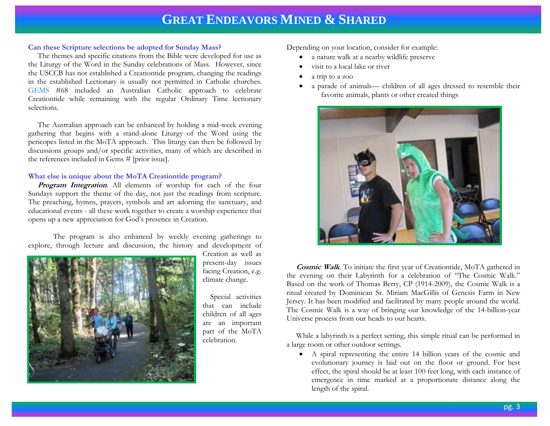#### **Can these Scripture selections be adopted for Sunday Mass?**

 The themes and specific citations from the Bible were developed for use as the Liturgy of the Word in the Sunday celebrations of Mass. However, since the USCCB has not established a Creationtide program, changing the readings in the established Lectionary is usually not permitted in Catholic churches. GEMS #68 included an Australian Catholic approach to celebrate Creationtide while remaining with the regular Ordinary Time lectionary selections.

 The Australian approach can be enhanced by holding a mid-week evening gathering that begins with a stand-alone Liturgy of the Word using the pericopes listed in the MoTA approach. This liturgy can then be followed by discussions groups and/or specific activities, many of which are described in the references included in Gems # [prior issue].

#### **What else is unique about the MoTA Creationtide program?**

 **Program Integration**. All elements of worship for each of the four Sundays support the theme of the day, not just the readings from scripture. The preaching, hymns, prayers, symbols and art adorning the sanctuary, and educational events - all these work together to create a worship experience that opens up a new appreciation for God's presence in Creation.

The program is also enhanced by weekly evening gatherings to explore, through lecture and discussion, the history and development of



Creation as well as present-day issues facing Creation, e.g. climate change.

 Special activities that can include children of all ages are an important part of the MoTA celebration.

Depending on your location, consider for example:

- a nature walk at a nearby wildlife preserve
- visit to a local lake or river
- a trip to a zoo
- a parade of animals— children of all ages dressed to resemble their favorite animals, plants or other created things



 **Cosmic Walk**. To initiate the first year of Creationtide, MoTA gathered in the evening on their Labyrinth for a celebration of "The Cosmic Walk." Based on the work of Thomas Berry, CP (1914-2009), the Cosmic Walk is a ritual created by Dominican Sr. Miriam MacGillis of Genesis Farm in New Jersey. It has been modified and facilitated by many people around the world. The Cosmic Walk is a way of bringing our knowledge of the 14-billion-year Universe process from our heads to our hearts.

 While a labyrinth is a perfect setting, this simple ritual can be performed in a large room or other outdoor settings.

 A spiral representing the entire 14 billion years of the cosmic and evolutionary journey is laid out on the floor or ground. For best effect, the spiral should be at least 100 feet long, with each instance of emergence in time marked at a proportionate distance along the length of the spiral.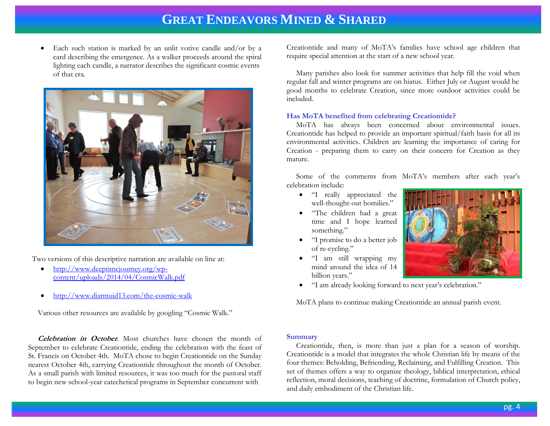Each such station is marked by an unlit votive candle and/or by a card describing the emergence. As a walker proceeds around the spiral lighting each candle, a narrator describes the significant cosmic events of that era.



Two versions of this descriptive narration are available on line at:

- [http://www.deeptimejourney.org/wp](http://www.deeptimejourney.org/wp-content/uploads/2014/04/CosmicWalk.pdf)[content/uploads/2014/04/CosmicWalk.pdf](http://www.deeptimejourney.org/wp-content/uploads/2014/04/CosmicWalk.pdf)
- <http://www.diarmuid13.com/the-cosmic-walk>

Various other resources are available by googling "Cosmic Walk."

 **Celebration in October**. Most churches have chosen the month of September to celebrate Creationtide, ending the celebration with the feast of St. Francis on October 4th. MoTA chose to begin Creationtide on the Sunday nearest October 4th, carrying Creationtide throughout the month of October. As a small parish with limited resources, it was too much for the pastoral staff to begin new school-year catechetical programs in September concurrent with

Creationtide and many of MoTA's families have school age children that require special attention at the start of a new school year.

 Many parishes also look for summer activities that help fill the void when regular fall and winter programs are on hiatus. Either July or August would be good months to celebrate Creation, since more outdoor activities could be included.

#### **Has MoTA benefited from celebrating Creationtide?**

 MoTA has always been concerned about environmental issues. Creationtide has helped to provide an important spiritual/faith basis for all its environmental activities. Children are learning the importance of caring for Creation - preparing them to carry on their concern for Creation as they mature.

 Some of the comments from MoTA's members after each year's celebration include:

- "I really appreciated the well-thought-out homilies."
- "The children had a great time and I hope learned something."
- "I promise to do a better job of re-cycling."
- "I am still wrapping my mind around the idea of 14 billion years."



"I am already looking forward to next year's celebration."

MoTA plans to continue making Creationtide an annual parish event.

#### **Summary**

Creationtide, then, is more than just a plan for a season of worship. Creationtide is a model that integrates the whole Christian life by means of the four themes: Beholding, Befriending, Reclaiming, and Fulfilling Creation. This set of themes offers a way to organize theology, biblical interpretation, ethical reflection, moral decisions, teaching of doctrine, formulation of Church policy, and daily embodiment of the Christian life.